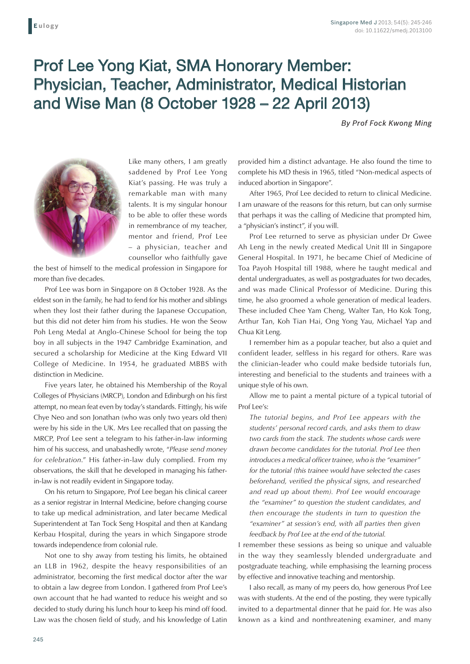## Prof Lee Yong Kiat, SMA Honorary Member: Physician, Teacher, Administrator, Medical Historian and Wise Man (8 October 1928 – 22 April 2013)

*By Prof Fock Kwong Ming*



Like many others, I am greatly saddened by Prof Lee Yong Kiat's passing. He was truly a remarkable man with many talents. It is my singular honour to be able to offer these words in remembrance of my teacher, mentor and friend, Prof Lee – a physician, teacher and counsellor who faithfully gave

the best of himself to the medical profession in Singapore for more than five decades.

Prof Lee was born in Singapore on 8 October 1928. As the eldest son in the family, he had to fend for his mother and siblings when they lost their father during the Japanese Occupation, but this did not deter him from his studies. He won the Seow Poh Leng Medal at Anglo-Chinese School for being the top boy in all subjects in the 1947 Cambridge Examination, and secured a scholarship for Medicine at the King Edward VII College of Medicine. In 1954, he graduated MBBS with distinction in Medicine.

Five years later, he obtained his Membership of the Royal Colleges of Physicians (MRCP), London and Edinburgh on his first attempt, no mean feat even by today's standards. Fittingly, his wife Chye Neo and son Jonathan (who was only two years old then) were by his side in the UK. Mrs Lee recalled that on passing the MRCP, Prof Lee sent a telegram to his father-in-law informing him of his success, and unabashedly wrote, "*Please send money for celebration*." His father-in-law duly complied. From my observations, the skill that he developed in managing his fatherin-law is not readily evident in Singapore today.

On his return to Singapore, Prof Lee began his clinical career as a senior registrar in Internal Medicine, before changing course to take up medical administration, and later became Medical Superintendent at Tan Tock Seng Hospital and then at Kandang Kerbau Hospital, during the years in which Singapore strode towards independence from colonial rule.

Not one to shy away from testing his limits, he obtained an LLB in 1962, despite the heavy responsibilities of an administrator, becoming the first medical doctor after the war to obtain a law degree from London. I gathered from Prof Lee's own account that he had wanted to reduce his weight and so decided to study during his lunch hour to keep his mind off food. Law was the chosen field of study, and his knowledge of Latin

provided him a distinct advantage. He also found the time to complete his MD thesis in 1965, titled "Non-medical aspects of induced abortion in Singapore".

After 1965, Prof Lee decided to return to clinical Medicine. I am unaware of the reasons for this return, but can only surmise that perhaps it was the calling of Medicine that prompted him, a "physician's instinct", if you will.

Prof Lee returned to serve as physician under Dr Gwee Ah Leng in the newly created Medical Unit III in Singapore General Hospital. In 1971, he became Chief of Medicine of Toa Payoh Hospital till 1988, where he taught medical and dental undergraduates, as well as postgraduates for two decades, and was made Clinical Professor of Medicine. During this time, he also groomed a whole generation of medical leaders. These included Chee Yam Cheng, Walter Tan, Ho Kok Tong, Arthur Tan, Koh Tian Hai, Ong Yong Yau, Michael Yap and Chua Kit Leng.

I remember him as a popular teacher, but also a quiet and confident leader, selfless in his regard for others. Rare was the clinician-leader who could make bedside tutorials fun, interesting and beneficial to the students and trainees with a unique style of his own.

Allow me to paint a mental picture of a typical tutorial of Prof Lee's:

*The tutorial begins, and Prof Lee appears with the students' personal record cards, and asks them to draw two cards from the stack. The students whose cards were drawn become candidates for the tutorial. Prof Lee then introduces a medical officer trainee, who is the "examiner" for the tutorial (this trainee would have selected the cases beforehand, verified the physical signs, and researched and read up about them). Prof Lee would encourage the "examiner" to question the student candidates, and then encourage the students in turn to question the "examiner" at session's end, with all parties then given feedback by Prof Lee at the end of the tutorial.*

I remember these sessions as being so unique and valuable in the way they seamlessly blended undergraduate and postgraduate teaching, while emphasising the learning process by effective and innovative teaching and mentorship.

I also recall, as many of my peers do, how generous Prof Lee was with students. At the end of the posting, they were typically invited to a departmental dinner that he paid for. He was also known as a kind and nonthreatening examiner, and many